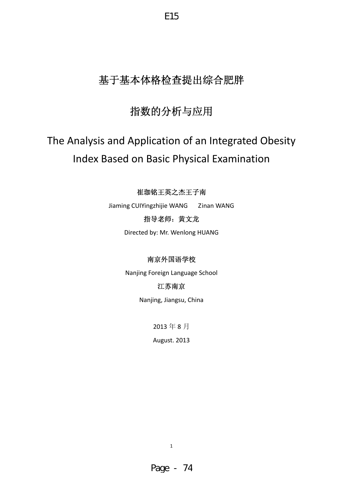# 基于基本体格检查提出综合肥胖

E15

# 指数的分析与应用

# The Analysis and Application of an Integrated Obesity Index Based on Basic Physical Examination

# 崔珈铭王英之杰王子南

Jiaming CUIYingzhijie WANG Zinan WANG

# 指导老师:黄文龙

Directed by: Mr. Wenlong HUANG

# 南京外国语学校

Nanjing Foreign Language School

# 江苏南京

Nanjing, Jiangsu, China

2013 年 8 月

August. 2013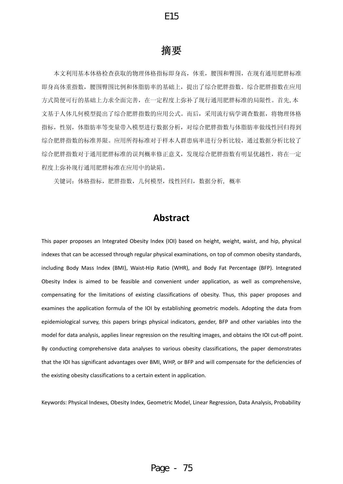# 摘要

本文利用基本体格检查获取的物理体格指标即身高,体重,腰围和臀围,在现有通用肥胖标准 即身高体重指数,腰围臀围比例和体脂肪率的基础上,提出了综合肥胖指数。综合肥胖指数在应用 方式简便可行的基础上力求全面完善,在一定程度上弥补了现行通用肥胖标准的局限性。首先,本 文基于人体几何模型提出了综合肥胖指数的应用公式。而后,采用流行病学调查数据,将物理体格 指标,性别,体脂肪率等变量带入模型进行数据分析,对综合肥胖指数与体脂肪率做线性回归得到 综合肥胖指数的标准界限。应用所得标准对于样本人群患病率进行分析比较,通过数据分析比较了 综合肥胖指数对于通用肥胖标准的误判概率修正意义,发现综合肥胖指数有明显优越性,将在一定 程度上弥补现行通用肥胖标准在应用中的缺陷。

关键词:体格指标,肥胖指数,几何模型,线性回归,数据分析, 概率

# **Abstract**

This paper proposes an Integrated Obesity Index (IOI) based on height, weight, waist, and hip, physical indexes that can be accessed through regular physical examinations, on top of common obesity standards, including Body Mass Index (BMI), Waist‐Hip Ratio (WHR), and Body Fat Percentage (BFP). Integrated Obesity Index is aimed to be feasible and convenient under application, as well as comprehensive, compensating for the limitations of existing classifications of obesity. Thus, this paper proposes and examines the application formula of the IOI by establishing geometric models. Adopting the data from epidemiological survey, this papers brings physical indicators, gender, BFP and other variables into the model for data analysis, applies linear regression on the resulting images, and obtains the IOI cut‐off point. By conducting comprehensive data analyses to various obesity classifications, the paper demonstrates that the IOI has significant advantages over BMI, WHP, or BFP and will compensate for the deficiencies of the existing obesity classifications to a certain extent in application.

Keywords: Physical Indexes, Obesity Index, Geometric Model, Linear Regression, Data Analysis, Probability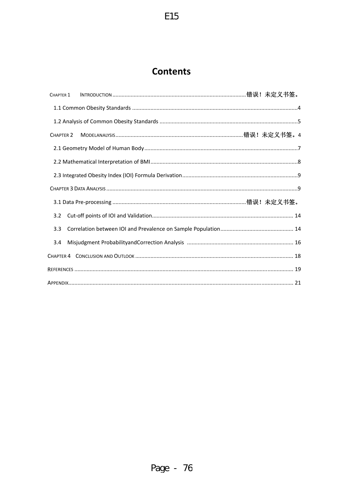# **Contents**

| CHAPTER 1                                                         |  |
|-------------------------------------------------------------------|--|
|                                                                   |  |
|                                                                   |  |
| CHAPTER <sub>2</sub>                                              |  |
|                                                                   |  |
|                                                                   |  |
|                                                                   |  |
|                                                                   |  |
|                                                                   |  |
| 3.1 Data Pre-processing ……………………………………………………………………………………错误!未定义书签。 |  |
| 3.2                                                               |  |
| 3.3                                                               |  |
| 3.4                                                               |  |
|                                                                   |  |
|                                                                   |  |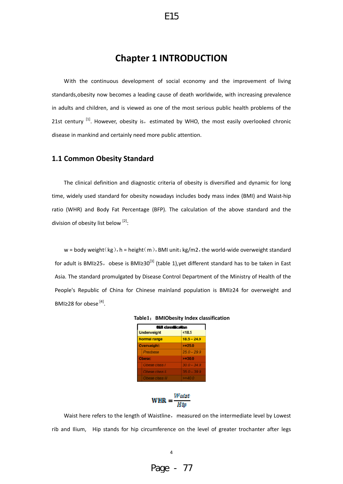# **Chapter 1 INTRODUCTION**

With the continuous development of social economy and the improvement of living standards,obesity now becomes a leading cause of death worldwide, with increasing prevalence in adults and children, and is viewed as one of the most serious public health problems of the 21st century  $^{[1]}$ . However, obesity is, estimated by WHO, the most easily overlooked chronic disease in mankind and certainly need more public attention.

#### **1.1 Common Obesity Standard**

The clinical definition and diagnostic criteria of obesity is diversified and dynamic for long time, widely used standard for obesity nowadays includes body mass index (BMI) and Waist‐hip ratio (WHR) and Body Fat Percentage (BFP). The calculation of the above standard and the division of obesity list below [2]:

 $w = body weight(kg)$ , h = height(m), BMI unit: kg/m2, the world-wide overweight standard for adult is BMI≥25, obese is BMI≥30<sup>[3]</sup> (table 1),yet different standard has to be taken in East Asia. The standard promulgated by Disease Control Department of the Ministry of Health of the People's Republic of China for Chinese mainland population is BMI≥24 for overweight and BMI≥28 for obese  $^{[4]}$ .

| <b>Büll classification</b> |               |  |  |  |  |  |
|----------------------------|---------------|--|--|--|--|--|
| <b>Underweight</b>         | 548.5         |  |  |  |  |  |
| Normal range               | $18.5 - 24.9$ |  |  |  |  |  |
| <b>Cverweight:</b>         | $>= 25.0$     |  |  |  |  |  |
| Preobese                   | $25.0 - 29.9$ |  |  |  |  |  |
| <b>Chese:</b>              | $>=30.0$      |  |  |  |  |  |
| Obese class I              | $30.0 - 34.9$ |  |  |  |  |  |
| Obese class li             | $35.0 - 39.9$ |  |  |  |  |  |
| Obese class III            | $>= 400$      |  |  |  |  |  |

**Table1**:**BMIObesity Index classification**



Waist here refers to the length of Waistline, measured on the intermediate level by Lowest rib and Ilium, Hip stands for hip circumference on the level of greater trochanter after legs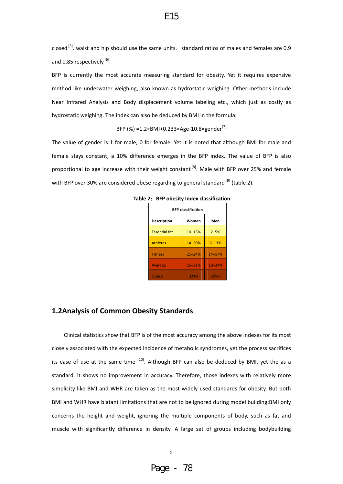closed  $\left[5\right]$ . waist and hip should use the same units, standard ratios of males and females are 0.9 and 0.85 respectively [6].

E15

BFP is currently the most accurate measuring standard for obesity. Yet it requires expensive method like underwater weighing, also known as hydrostatic weighing. Other methods include Near Infrared Analysis and Body displacement volume labeling etc., which just as costly as hydrostatic weighing. The index can also be deduced by BMI in the formula:

BFP (%) = $1.2 \times$ BMI+0.233×Age-10.8×gender<sup>[7]</sup>

The value of gender is 1 for male, 0 for female. Yet it is noted that although BMI for male and female stays constant, a 10% difference emerges in the BFP index. The value of BFP is also proportional to age increase with their weight constant  $^{[8]}$ . Male with BFP over 25% and female with BFP over 30% are considered obese regarding to general standard <sup>[9]</sup> (table 2).

| <b>BFP classification</b>          |            |            |  |  |  |  |  |  |
|------------------------------------|------------|------------|--|--|--|--|--|--|
| <b>Description</b><br>Men<br>Women |            |            |  |  |  |  |  |  |
| <b>Essential fat</b>               | $10 - 13%$ | $2 - 5%$   |  |  |  |  |  |  |
| <b>Athletes</b>                    | $14 - 20%$ | $6 - 13%$  |  |  |  |  |  |  |
| <b>Fitness</b>                     | $21 - 24%$ | $14 - 17%$ |  |  |  |  |  |  |
| <b>Average</b>                     | $25 - 31%$ | $18 - 24%$ |  |  |  |  |  |  |
| Obese                              | $32%+$     | $25%+$     |  |  |  |  |  |  |

**Table 2**:**BFP obesity Index classification**

#### **1.2Analysis of Common Obesity Standards**

Clinical statistics show that BFP is of the most accuracy among the above indexes for its most closely associated with the expected incidence of metabolic syndromes, yet the process sacrifices its ease of use at the same time  $[10]$ . Although BFP can also be deduced by BMI, yet the as a standard, it shows no improvement in accuracy. Therefore, those indexes with relatively more simplicity like BMI and WHR are taken as the most widely used standards for obesity. But both BMI and WHR have blatant limitations that are not to be ignored during model building:BMI only concerns the height and weight, ignoring the multiple components of body, such as fat and muscle with significantly difference in density. A large set of groups including bodybuilding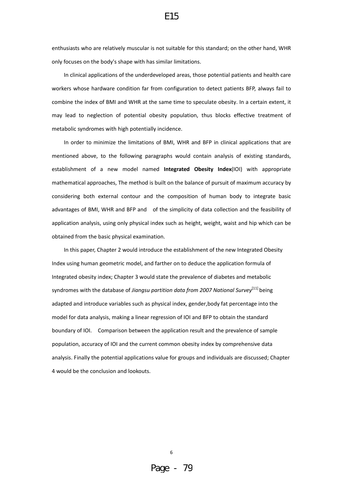enthusiasts who are relatively muscular is not suitable for this standard; on the other hand, WHR only focuses on the body's shape with has similar limitations.

E15

In clinical applications of the underdeveloped areas, those potential patients and health care workers whose hardware condition far from configuration to detect patients BFP, always fail to combine the index of BMI and WHR at the same time to speculate obesity. In a certain extent, it may lead to neglection of potential obesity population, thus blocks effective treatment of metabolic syndromes with high potentially incidence.

In order to minimize the limitations of BMI, WHR and BFP in clinical applications that are mentioned above, to the following paragraphs would contain analysis of existing standards, establishment of a new model named **Integrated Obesity Index**(IOI) with appropriate mathematical approaches, The method is built on the balance of pursuit of maximum accuracy by considering both external contour and the composition of human body to integrate basic advantages of BMI, WHR and BFP and of the simplicity of data collection and the feasibility of application analysis, using only physical index such as height, weight, waist and hip which can be obtained from the basic physical examination.

In this paper, Chapter 2 would introduce the establishment of the new Integrated Obesity Index using human geometric model, and farther on to deduce the application formula of Integrated obesity index; Chapter 3 would state the prevalence of diabetes and metabolic syndromes with the database of *Jiangsu partition data from 2007 National Survey*[11] being adapted and introduce variables such as physical index, gender,body fat percentage into the model for data analysis, making a linear regression of IOI and BFP to obtain the standard boundary of IOI. Comparison between the application result and the prevalence of sample population, accuracy of IOI and the current common obesity index by comprehensive data analysis. Finally the potential applications value for groups and individuals are discussed; Chapter 4 would be the conclusion and lookouts.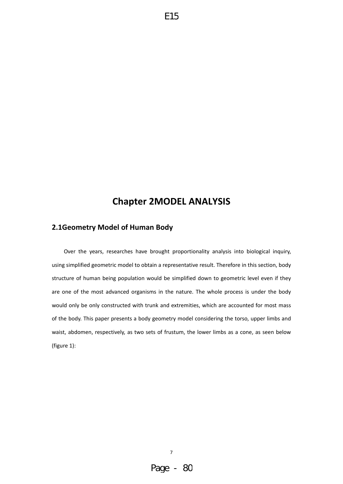# **Chapter 2MODEL ANALYSIS**

# **2.1Geometry Model of Human Body**

Over the years, researches have brought proportionality analysis into biological inquiry, using simplified geometric model to obtain a representative result. Therefore in this section, body structure of human being population would be simplified down to geometric level even if they are one of the most advanced organisms in the nature. The whole process is under the body would only be only constructed with trunk and extremities, which are accounted for most mass of the body. This paper presents a body geometry model considering the torso, upper limbs and waist, abdomen, respectively, as two sets of frustum, the lower limbs as a cone, as seen below (figure 1):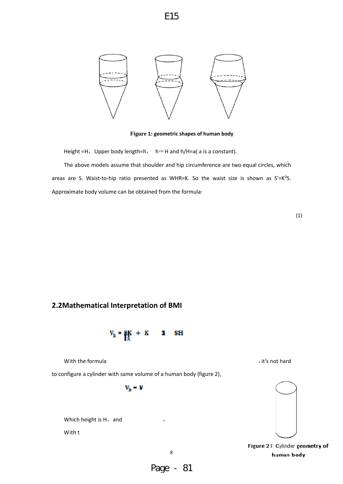

**Figure 1: geometric shapes of human body** 

Height =H, Upper body length=h,  $h \propto H$  and h/H=a( a is a constant).

The above models assume that shoulder and hip circumference are two equal circles, which areas are S. Waist-to-hip ratio presented as WHR=K. So the waist size is shown as  $S' = K^2S$ . Approximate body volume can be obtained from the formula:

(1)

## **2.2Mathematical Interpretation of BMI**



With the formula  $\qquad \qquad$  , it's not hard

to configure a cylinder with same volume of a human body (figure 2),

 $V_{\rm h} = V$ 

Which height is  $H$ , and

With t



Figure 2: Cylinder geometry of human body

8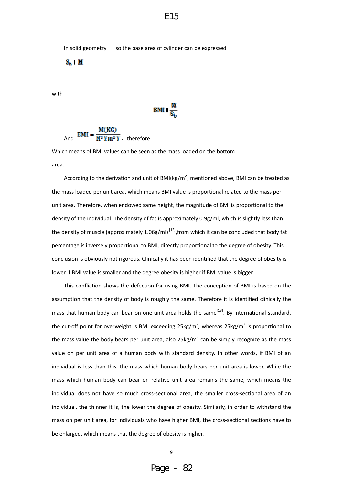**BMI**  $\frac{M}{S}$ 

In solid geometry  $\theta$ , so the base area of cylinder can be expressed

 $S_{\rm in}$  1  ${\rm H}$ 

with

And 
$$
BMI = \frac{M(KG)}{H^2 Y m^2 Y},
$$
 therefore

Which means of BMI values can be seen as the mass loaded on the bottom area.

According to the derivation and unit of BMI(kg/m<sup>2</sup>) mentioned above, BMI can be treated as the mass loaded per unit area, which means BMI value is proportional related to the mass per unit area. Therefore, when endowed same height, the magnitude of BMI is proportional to the density of the individual. The density of fat is approximately 0.9g/ml, which is slightly less than the density of muscle (approximately 1.06g/ml)<sup>[12]</sup>, from which it can be concluded that body fat percentage is inversely proportional to BMI, directly proportional to the degree of obesity. This conclusion is obviously not rigorous. Clinically it has been identified that the degree of obesity is lower if BMI value is smaller and the degree obesity is higher if BMI value is bigger.

This confliction shows the defection for using BMI. The conception of BMI is based on the assumption that the density of body is roughly the same. Therefore it is identified clinically the mass that human body can bear on one unit area holds the same  $[13]$ . By international standard, the cut-off point for overweight is BMI exceeding 25kg/m<sup>2</sup>, whereas 25kg/m<sup>2</sup> is proportional to the mass value the body bears per unit area, also  $25\text{kg/m}^2$  can be simply recognize as the mass value on per unit area of a human body with standard density. In other words, if BMI of an individual is less than this, the mass which human body bears per unit area is lower. While the mass which human body can bear on relative unit area remains the same, which means the individual does not have so much cross‐sectional area, the smaller cross‐sectional area of an individual, the thinner it is, the lower the degree of obesity. Similarly, in order to withstand the mass on per unit area, for individuals who have higher BMI, the cross-sectional sections have to be enlarged, which means that the degree of obesity is higher.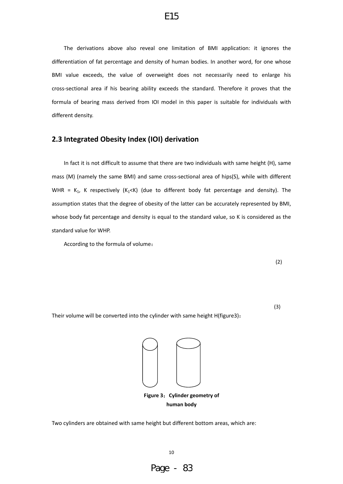The derivations above also reveal one limitation of BMI application: it ignores the differentiation of fat percentage and density of human bodies. In another word, for one whose BMI value exceeds, the value of overweight does not necessarily need to enlarge his cross‐sectional area if his bearing ability exceeds the standard. Therefore it proves that the formula of bearing mass derived from IOI model in this paper is suitable for individuals with different density.

#### **2.3 Integrated Obesity Index (IOI) derivation**

In fact it is not difficult to assume that there are two individuals with same height (H), same mass (M) (namely the same BMI) and same cross-sectional area of hips(S), while with different WHR =  $K_1$ , K respectively ( $K_1$ <K) (due to different body fat percentage and density). The assumption states that the degree of obesity of the latter can be accurately represented by BMI, whose body fat percentage and density is equal to the standard value, so K is considered as the standard value for WHP.

According to the formula of volume:

(2)

Their volume will be converted into the cylinder with same height H(figure3):

(3)



Two cylinders are obtained with same height but different bottom areas, which are:

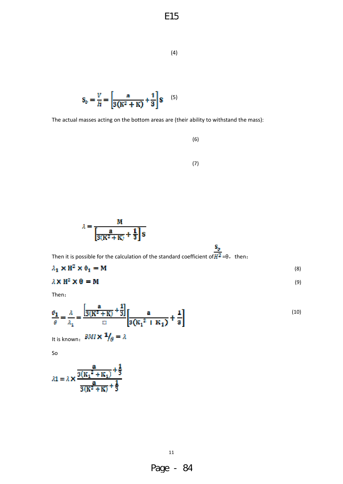$$
^{(4)}
$$

$$
S_b = \frac{V}{H} = \left[\frac{a}{3(K^2 + K)} + \frac{1}{3}\right]g
$$
 (5)

The actual masses acting on the bottom areas are (their ability to withstand the mass):

(6)

$$
(7)
$$

$$
\lambda = \frac{M}{\left[ \frac{a}{3(K^2 + K)} + \frac{1}{3} \right] 8}
$$

Then it is possible for the calculation of the standard coefficient of  $\frac{S_p}{H^2}$ =θ, then:

$$
\lambda_1 \times \mathbf{H}^2 \times \mathbf{0}_1 = \mathbf{M} \tag{8}
$$

$$
\lambda \times \mathbf{H}^2 \times \mathbf{\Theta} = \mathbf{M} \tag{9}
$$

Then:

$$
\frac{\sigma_1}{\theta} = \frac{\lambda}{\lambda_1} = \frac{\left[\frac{a}{3(K^2 + K)} + \frac{1}{3}\right]}{2} \left[\frac{a}{3(K_1^2 + K_1)} + \frac{1}{3}\right]
$$
\n(10)

It is known:  $\mathbf{B}M\mathbf{I} \times \mathbf{1}_{\beta} = \lambda$ 

So

$$
\lambda 1 = \lambda \times \frac{\frac{a}{3(K_1^2 + K_1)} + \frac{1}{3}}{\frac{a}{3(K^2 + K)} + \frac{1}{3}}
$$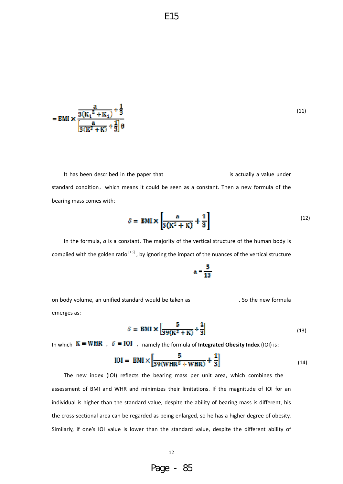$$
= \text{BMI} \times \frac{\frac{a}{3(K_1^2 + K_1)} + \frac{1}{3}}{\frac{a}{3(K^2 + K)} + \frac{1}{3}\theta}
$$

It has been described in the paper that **in the sensual set of the sensual value** under standard condition, which means it could be seen as a constant. Then a new formula of the bearing mass comes with:

$$
\delta = \text{BMI} \times \left[ \frac{a}{3(K^2 + K)} + \frac{1}{3} \right] \tag{12}
$$

In the formula, *a* is a constant. The majority of the vertical structure of the human body is complied with the golden ratio  $^{[13]}$ , by ignoring the impact of the nuances of the vertical structure

on body volume, an unified standard would be taken as . So the new formula emerges as:

$$
\delta = \text{BMI} \times \left[ \frac{5}{39(K^2 + K)} + \frac{1}{3} \right] \tag{13}
$$

In which  $K = WHR$ ,  $\delta = I0I$ , namely the formula of **Integrated Obesity Index** (IOI) is:

$$
IOI = BMI \times \left[ \frac{5}{39(WHR^2 + WHR)} + \frac{1}{3} \right]
$$
 (14)

 $a = \frac{5}{13}$ 

The new index (IOI) reflects the bearing mass per unit area, which combines the assessment of BMI and WHR and minimizes their limitations. If the magnitude of IOI for an individual is higher than the standard value, despite the ability of bearing mass is different, his the cross‐sectional area can be regarded as being enlarged, so he has a higher degree of obesity. Similarly, if one's IOI value is lower than the standard value, despite the different ability of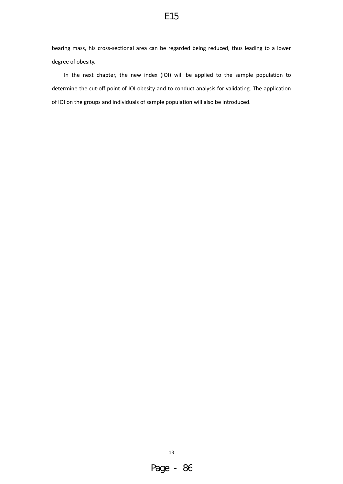bearing mass, his cross‐sectional area can be regarded being reduced, thus leading to a lower degree of obesity.

In the next chapter, the new index (IOI) will be applied to the sample population to determine the cut-off point of IOI obesity and to conduct analysis for validating. The application of IOI on the groups and individuals of sample population will also be introduced.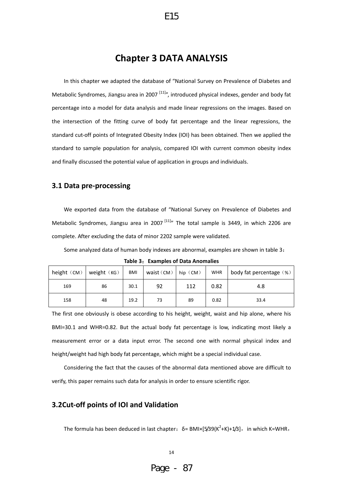# **Chapter 3 DATA ANALYSIS**

E15

In this chapter we adapted the database of "National Survey on Prevalence of Diabetes and Metabolic Syndromes, Jiangsu area in 2007<sup>[11]</sup>", introduced physical indexes, gender and body fat percentage into a model for data analysis and made linear regressions on the images. Based on the intersection of the fitting curve of body fat percentage and the linear regressions, the standard cut-off points of Integrated Obesity Index (IOI) has been obtained. Then we applied the standard to sample population for analysis, compared IOI with current common obesity index and finally discussed the potential value of application in groups and individuals.

#### **3.1 Data pre‐processing**

We exported data from the database of "National Survey on Prevalence of Diabetes and Metabolic Syndromes, Jiangsu area in 2007<sup>[11]</sup>" The total sample is 3449, in which 2206 are complete. After excluding the data of minor 2202 sample were validated.

Some analyzed data of human body indexes are abnormal, examples are shown in table 3:

| height $(CM)$ | weight $(KG)$ | BMI  | waist $(CM)$ | hip $(M)$ | <b>WHR</b> | body fat percentage (%) |
|---------------|---------------|------|--------------|-----------|------------|-------------------------|
| 169           | 86            | 30.1 | 92           | 112       | 0.82       | 4.8                     |
| 158           | 48            | 19.2 | 73           | 89        | 0.82       | 33.4                    |

**Table 3**:**Examples of Data Anomalies**

The first one obviously is obese according to his height, weight, waist and hip alone, where his BMI=30.1 and WHR=0.82. But the actual body fat percentage is low, indicating most likely a measurement error or a data input error. The second one with normal physical index and height/weight had high body fat percentage, which might be a special individual case.

Considering the fact that the causes of the abnormal data mentioned above are difficult to verify, this paper remains such data for analysis in order to ensure scientific rigor.

#### **3.2Cut‐off points of IOI and Validation**

The formula has been deduced in last chapter:  $\delta$  = BMI×[5/39(K<sup>2</sup>+K)+1/3], in which K=WHR,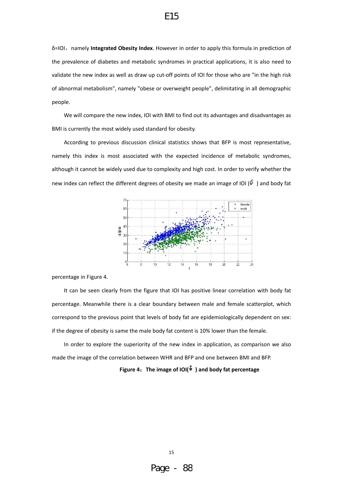δ=IOI,namely **Integrated Obesity Index**. However in order to apply this formula in prediction of the prevalence of diabetes and metabolic syndromes in practical applications, it is also need to validate the new index as well as draw up cut‐off points of IOI for those who are "in the high risk of abnormal metabolism", namely "obese or overweight people", delimitating in all demographic people.

We will compare the new index, IOI with BMI to find out its advantages and disadvantages as BMI is currently the most widely used standard for obesity.

According to previous discussion clinical statistics shows that BFP is most representative, namely this index is most associated with the expected incidence of metabolic syndromes, although it cannot be widely used due to complexity and high cost. In order to verify whether the new index can reflect the different degrees of obesity we made an image of IOI ( $\delta$ ) and body fat



percentage in Figure 4.

It can be seen clearly from the figure that IOI has positive linear correlation with body fat percentage. Meanwhile there is a clear boundary between male and female scatterplot, which correspond to the previous point that levels of body fat are epidemiologically dependent on sex: if the degree of obesity is same the male body fat content is 10% lower than the female.

In order to explore the superiority of the new index in application, as comparison we also made the image of the correlation between WHR and BFP and one between BMI and BFP.

**Figure 4**:**The image of IOI( ) and body fat percentage**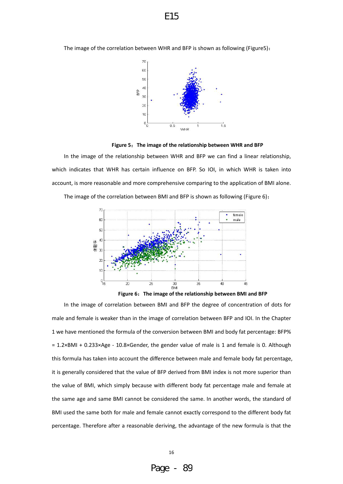The image of the correlation between WHR and BFP is shown as following (Figure5):





In the image of the relationship between WHR and BFP we can find a linear relationship, which indicates that WHR has certain influence on BFP. So IOI, in which WHR is taken into account, is more reasonable and more comprehensive comparing to the application of BMI alone.



The image of the correlation between BMI and BFP is shown as following (Figure 6):

**Figure 6**:**The image of the relationship between BMI and BFP**

In the image of correlation between BMI and BFP the degree of concentration of dots for male and female is weaker than in the image of correlation between BFP and IOI. In the Chapter 1 we have mentioned the formula of the conversion between BMI and body fat percentage: BFP%  $= 1.2 \times$ BMI + 0.233×Age - 10.8×Gender, the gender value of male is 1 and female is 0. Although this formula has taken into account the difference between male and female body fat percentage, it is generally considered that the value of BFP derived from BMI index is not more superior than the value of BMI, which simply because with different body fat percentage male and female at the same age and same BMI cannot be considered the same. In another words, the standard of BMI used the same both for male and female cannot exactly correspond to the different body fat percentage. Therefore after a reasonable deriving, the advantage of the new formula is that the

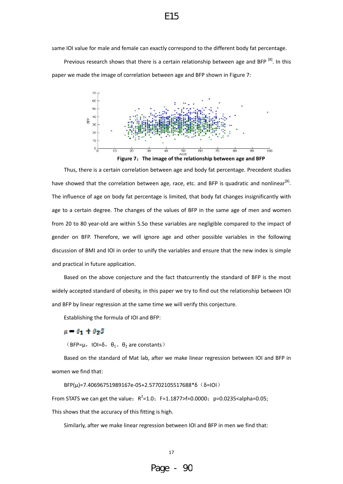same IOI value for male and female can exactly correspond to the different body fat percentage.

Previous research shows that there is a certain relationship between age and BFP<sup>[8]</sup>. In this paper we made the image of correlation between age and BFP shown in Figure 7:



Thus, there is a certain correlation between age and body fat percentage. Precedent studies have showed that the correlation between age, race, etc. and BFP is quadratic and nonlinear<sup>[8]</sup>. The influence of age on body fat percentage is limited, that body fat changes insignificantly with age to a certain degree. The changes of the values of BFP in the same age of men and women from 20 to 80 year-old are within 5.So these variables are negligible compared to the impact of gender on BFP. Therefore, we will ignore age and other possible variables in the following discussion of BMI and IOI in order to unify the variables and ensure that the new index is simple and practical in future application.

Based on the above conjecture and the fact thatcurrently the standard of BFP is the most widely accepted standard of obesity, in this paper we try to find out the relationship between IOI and BFP by linear regression at the same time we will verify this conjecture.

Establishing the formula of IOI and BFP:

#### $\mu = \theta_1 + \theta_2\delta$

(BFP= $\mu$ , IOI= $\delta$ ,  $\theta_1$ ,  $\theta_2$  are constants)

Based on the standard of Mat lab, after we make linear regression between IOI and BFP in women we find that:

BFP( $\mu$ )=7.40696751989167e-05+2.57702105517688\*δ(δ=IOI)

From STATS we can get the value:  $R^2$ =1.0; F=1.1877>f=0.0000; p=0.0235<alpha=0.05; This shows that the accuracy of this fitting is high.

Similarly, after we make linear regression between IOI and BFP in men we find that:

17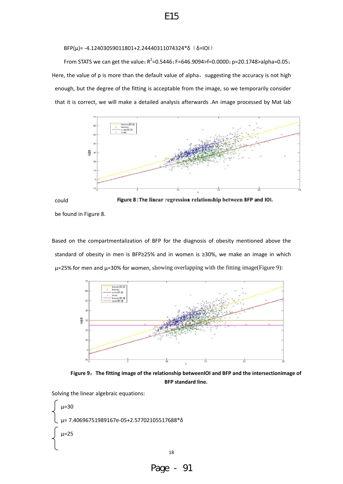BFP(μ)= -4.12403059011801+2.24440311074324\*δ (δ=IOI)

From STATS we can get the value:  $R^2$ =0.5446; F=646.9094>f=0.0000; p=20.1748>alpha=0.05; Here, the value of p is more than the default value of alpha, suggesting the accuracy is not high enough, but the degree of the fitting is acceptable from the image, so we temporarily consider that it is correct, we will make a detailed analysis afterwards .An image processed by Mat lab



Figure 8: The linear regression relationship between BFP and IOI. could

be found in Figure 8.

Based on the compartmentalization of BFP for the diagnosis of obesity mentioned above the standard of obesity in men is BFP≥25% and in women is ≥30%, we make an image in which  $\mu$ =25% for men and  $\mu$ =30% for women, showing overlapping with the fitting image(Figure 9):



**Figure 9**:**The fitting image of the relationship betweenIOI and BFP and the intersectionimage of BFP standard line.**

Solving the linear algebraic equations:

```
   μ=30
   μ= 7.40696751989167e‐05+2.57702105517688*δ 
   μ=25
```
Page - 91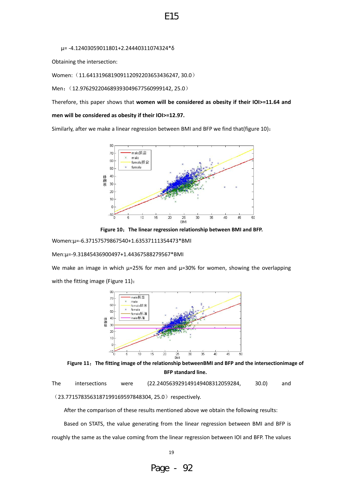μ= ‐4.12403059011801+2.24440311074324\*δ

Obtaining the intersection:

Women: (11.641319681909112092203653436247, 30.0)

Men: (12.976292204689393049677560999142, 25.0)

Therefore, this paper shows that **women will be considered as obesity if their IOI>=11.64 and**

E15

**men will be considered as obesity if their IOI>=12.97.** 

Similarly, after we make a linear regression between BMI and BFP we find that(figure 10):



**Figure 10**:**The linear regression relationship between BMI and BFP.**

Women:μ=‐6.37157579867540+1.63537111354473\*BMI

Men:μ=‐9.31845436900497+1.44367588279567\*BMI

We make an image in which  $\mu$ =25% for men and  $\mu$ =30% for women, showing the overlapping with the fitting image (Figure 11):



**Figure 11**:**The fitting image of the relationship betweenBMI and BFP and the intersectionimage of BFP standard line.**

The intersections were (22.240563929149149408312059284, 30.0) and

(23.7715783563187199169597848304, 25.0) respectively.

After the comparison of these results mentioned above we obtain the following results:

Based on STATS, the value generating from the linear regression between BMI and BFP is roughly the same as the value coming from the linear regression between IOI and BFP. The values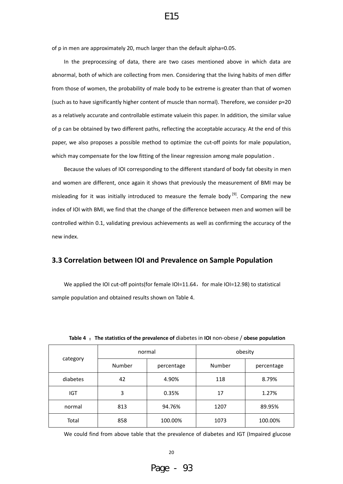of p in men are approximately 20, much larger than the default alpha=0.05.

In the preprocessing of data, there are two cases mentioned above in which data are abnormal, both of which are collecting from men. Considering that the living habits of men differ from those of women, the probability of male body to be extreme is greater than that of women (such as to have significantly higher content of muscle than normal). Therefore, we consider p≈20 as a relatively accurate and controllable estimate valuein this paper. In addition, the similar value of p can be obtained by two different paths, reflecting the acceptable accuracy. At the end of this paper, we also proposes a possible method to optimize the cut-off points for male population, which may compensate for the low fitting of the linear regression among male population .

Because the values of IOI corresponding to the different standard of body fat obesity in men and women are different, once again it shows that previously the measurement of BMI may be misleading for it was initially introduced to measure the female body  $[9]$ . Comparing the new index of IOI with BMI, we find that the change of the difference between men and women will be controlled within 0.1, validating previous achievements as well as confirming the accuracy of the new index.

#### **3.3 Correlation between IOI and Prevalence on Sample Population**

We applied the IOI cut-off points(for female IOI=11.64, for male IOI=12.98) to statistical sample population and obtained results shown on Table 4.

|            |                                  | normal       | obesity |            |  |
|------------|----------------------------------|--------------|---------|------------|--|
|            | category<br>Number<br>percentage |              | Number  | percentage |  |
| diabetes   | 42                               | 4.90%<br>118 |         | 8.79%      |  |
| <b>IGT</b> | 3                                | 0.35%        | 17      | 1.27%      |  |
| normal     | 813                              | 94.76%       | 1207    | 89.95%     |  |
| Total      | 858                              | 100.00%      | 1073    | 100.00%    |  |

**Table 4** :**The statistics of the prevalence of** diabetes in **IOI** non‐obese / **obese population** 

We could find from above table that the prevalence of diabetes and IGT (Impaired glucose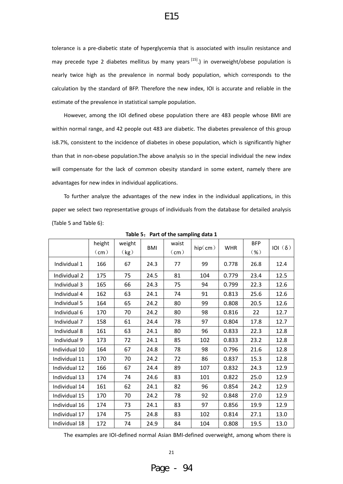tolerance is a pre-diabetic state of hyperglycemia that is associated with insulin resistance and may precede type 2 diabetes mellitus by many years  $[15]$ .) in overweight/obese population is nearly twice high as the prevalence in normal body population, which corresponds to the calculation by the standard of BFP. Therefore the new index, IOI is accurate and reliable in the estimate of the prevalence in statistical sample population.

However, among the IOI defined obese population there are 483 people whose BMI are within normal range, and 42 people out 483 are diabetic. The diabetes prevalence of this group is8.7%, consistent to the incidence of diabetes in obese population, which is significantly higher than that in non‐obese population.The above analysis so in the special individual the new index will compensate for the lack of common obesity standard in some extent, namely there are advantages for new index in individual applications.

To further analyze the advantages of the new index in the individual applications, in this paper we select two representative groups of individuals from the database for detailed analysis (Table 5 and Table 6):

|               | height<br>(cm) | weight<br>(kg) | <b>BMI</b> | waist<br>(cm) | hip(cm) | <b>WHR</b> | <b>BFP</b><br>$(\% )$ | 101(6) |
|---------------|----------------|----------------|------------|---------------|---------|------------|-----------------------|--------|
| Individual 1  | 166            | 67             | 24.3       | 77            | 99      | 0.778      | 26.8                  | 12.4   |
| Individual 2  | 175            | 75             | 24.5       | 81            | 104     | 0.779      | 23.4                  | 12.5   |
| Individual 3  | 165            | 66             | 24.3       | 75            | 94      | 0.799      | 22.3                  | 12.6   |
| Individual 4  | 162            | 63             | 24.1       | 74            | 91      | 0.813      | 25.6                  | 12.6   |
| Individual 5  | 164            | 65             | 24.2       | 80            | 99      | 0.808      | 20.5                  | 12.6   |
| Individual 6  | 170            | 70             | 24.2       | 80            | 98      | 0.816      | 22                    | 12.7   |
| Individual 7  | 158            | 61             | 24.4       | 78            | 97      | 0.804      | 17.8                  | 12.7   |
| Individual 8  | 161            | 63             | 24.1       | 80            | 96      | 0.833      | 22.3                  | 12.8   |
| Individual 9  | 173            | 72             | 24.1       | 85            | 102     | 0.833      | 23.2                  | 12.8   |
| Individual 10 | 164            | 67             | 24.8       | 78            | 98      | 0.796      | 21.6                  | 12.8   |
| Individual 11 | 170            | 70             | 24.2       | 72            | 86      | 0.837      | 15.3                  | 12.8   |
| Individual 12 | 166            | 67             | 24.4       | 89            | 107     | 0.832      | 24.3                  | 12.9   |
| Individual 13 | 174            | 74             | 24.6       | 83            | 101     | 0.822      | 25.0                  | 12.9   |
| Individual 14 | 161            | 62             | 24.1       | 82            | 96      | 0.854      | 24.2                  | 12.9   |
| Individual 15 | 170            | 70             | 24.2       | 78            | 92      | 0.848      | 27.0                  | 12.9   |
| Individual 16 | 174            | 73             | 24.1       | 83            | 97      | 0.856      | 19.9                  | 12.9   |
| Individual 17 | 174            | 75             | 24.8       | 83            | 102     | 0.814      | 27.1                  | 13.0   |
| Individual 18 | 172            | 74             | 24.9       | 84            | 104     | 0.808      | 19.5                  | 13.0   |

**Table 5**:**Part of the sampling data 1**

The examples are IOI‐defined normal Asian BMI‐defined overweight, among whom there is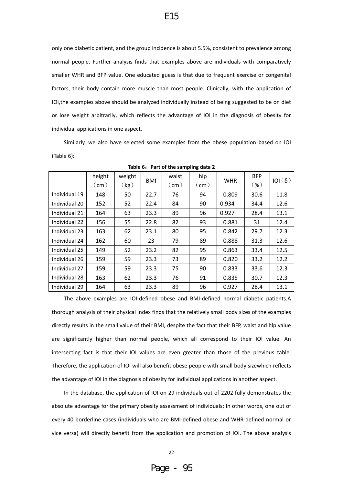only one diabetic patient, and the group incidence is about 5.5%, consistent to prevalence among normal people. Further analysis finds that examples above are individuals with comparatively smaller WHR and BFP value. One educated guess is that due to frequent exercise or congenital factors, their body contain more muscle than most people. Clinically, with the application of IOI,the examples above should be analyzed individually instead of being suggested to be on diet or lose weight arbitrarily, which reflects the advantage of IOI in the diagnosis of obesity for individual applications in one aspect.

Similarly, we also have selected some examples from the obese population based on IOI (Table 6):

|               | height | weight |            | waist | hip           | <b>WHR</b> | <b>BFP</b> | $ O (\delta)$ |
|---------------|--------|--------|------------|-------|---------------|------------|------------|---------------|
|               | (cm)   | (kg)   | <b>BMI</b> | (cm)  | $\text{(cm)}$ |            | $(\% )$    |               |
| Individual 19 | 148    | 50     | 22.7       | 76    | 94            | 0.809      | 30.6       | 11.8          |
| Individual 20 | 152    | 52     | 22.4       | 84    | 90            | 0.934      | 34.4       | 12.6          |
| Individual 21 | 164    | 63     | 23.3       | 89    | 96            | 0.927      | 28.4       | 13.1          |
| Individual 22 | 156    | 55     | 22.8       | 82    | 93            | 0.881      | 31         | 12.4          |
| Individual 23 | 163    | 62     | 23.1       | 80    | 95            | 0.842      | 29.7       | 12.3          |
| Individual 24 | 162    | 60     | 23         | 79    | 89            | 0.888      | 31.3       | 12.6          |
| Individual 25 | 149    | 52     | 23.2       | 82    | 95            | 0.863      | 33.4       | 12.5          |
| Individual 26 | 159    | 59     | 23.3       | 73    | 89            | 0.820      | 33.2       | 12.2          |
| Individual 27 | 159    | 59     | 23.3       | 75    | 90            | 0.833      | 33.6       | 12.3          |
| Individual 28 | 163    | 62     | 23.3       | 76    | 91            | 0.835      | 30.7       | 12.3          |
| Individual 29 | 164    | 63     | 23.3       | 89    | 96            | 0.927      | 28.4       | 13.1          |

**Table 6**:**Part of the sampling data 2**

The above examples are IOI‐defined obese and BMI‐defined normal diabetic patients.A thorough analysis of their physical index finds that the relatively small body sizes of the examples directly results in the small value of their BMI, despite the fact that their BFP, waist and hip value are significantly higher than normal people, which all correspond to their IOI value. An intersecting fact is that their IOI values are even greater than those of the previous table. Therefore, the application of IOI will also benefit obese people with small body sizewhich reflects the advantage of IOI in the diagnosis of obesity for individual applications in another aspect.

In the database, the application of IOI on 29 individuals out of 2202 fully demonstrates the absolute advantage for the primary obesity assessment of individuals; In other words, one out of every 40 borderline cases (individuals who are BMI‐defined obese and WHR‐defined normal or vice versa) will directly benefit from the application and promotion of IOI. The above analysis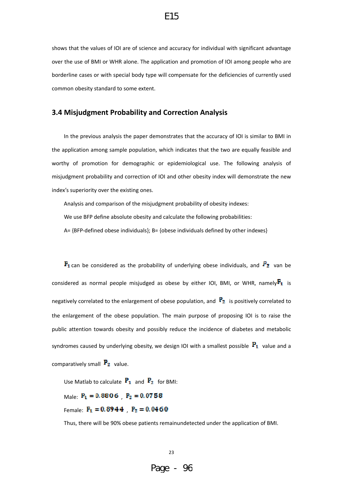shows that the values of IOI are of science and accuracy for individual with significant advantage over the use of BMI or WHR alone. The application and promotion of IOI among people who are borderline cases or with special body type will compensate for the deficiencies of currently used common obesity standard to some extent.

#### **3.4 Misjudgment Probability and Correction Analysis**

In the previous analysis the paper demonstrates that the accuracy of IOI is similar to BMI in the application among sample population, which indicates that the two are equally feasible and worthy of promotion for demographic or epidemiological use. The following analysis of misjudgment probability and correction of IOI and other obesity index will demonstrate the new index's superiority over the existing ones.

Analysis and comparison of the misjudgment probability of obesity indexes:

We use BFP define absolute obesity and calculate the following probabilities:

A= {BFP‐defined obese individuals}; B= {obese individuals defined by other indexes}

 $\mathbf{F}_1$  can be considered as the probability of underlying obese individuals, and  $\mathbf{P}_2$  van be considered as normal people misjudged as obese by either IOI, BMI, or WHR, namely $\mathbf{F_1}$  is negatively correlated to the enlargement of obese population, and  $\mathbb{P}_2$  is positively correlated to the enlargement of the obese population. The main purpose of proposing IOI is to raise the public attention towards obesity and possibly reduce the incidence of diabetes and metabolic syndromes caused by underlying obesity, we design IOI with a smallest possible  $P_1$  value and a comparatively small  $P_2$  value.

Use Matlab to calculate  $P_1$  and  $P_2$  for BMI: Male:  $P_1 = 0.8806$   $P_2 = 0.0758$ Female:  $P_1 = 0.8944$   $P_2 = 0.0460$ 

Thus, there will be 90% obese patients remainundetected under the application of BMI.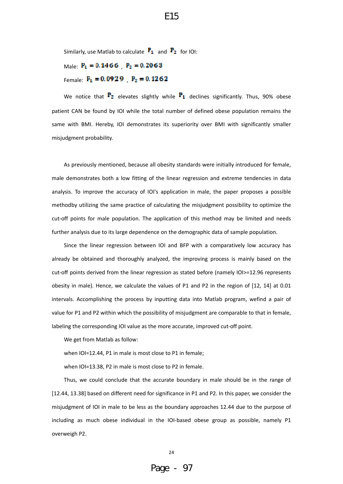Similarly, use Matlab to calculate  $\mathbf{F}_1$  and  $\mathbf{F}_2$  for IOI:

Male:  $P_1 = 0.1466$   $P_2 = 0.2063$ Female:  $P_1 = 0.0929$   $P_2 = 0.1262$ 

We notice that  $\mathbf{P}_2$  elevates slightly while  $\mathbf{P}_1$  declines significantly. Thus, 90% obese patient CAN be found by IOI while the total number of defined obese population remains the same with BMI. Hereby, IOI demonstrates its superiority over BMI with significantly smaller misjudgment probability.

As previously mentioned, because all obesity standards were initially introduced for female, male demonstrates both a low fitting of the linear regression and extreme tendencies in data analysis. To improve the accuracy of IOI's application in male, the paper proposes a possible methodby utilizing the same practice of calculating the misjudgment possibility to optimize the cut-off points for male population. The application of this method may be limited and needs further analysis due to its large dependence on the demographic data of sample population.

Since the linear regression between IOI and BFP with a comparatively low accuracy has already be obtained and thoroughly analyzed, the improving process is mainly based on the cut‐off points derived from the linear regression as stated before (namely IOI>=12.96 represents obesity in male). Hence, we calculate the values of P1 and P2 in the region of [12, 14] at 0.01 intervals. Accomplishing the process by inputting data into Matlab program, wefind a pair of value for P1 and P2 within which the possibility of misjudgment are comparable to that in female, labeling the corresponding IOI value as the more accurate, improved cut-off point.

We get from Matlab as follow:

when IOI=12.44, P1 in male is most close to P1 in female;

when IOI=13.38, P2 in male is most close to P2 in female.

Thus, we could conclude that the accurate boundary in male should be in the range of [12.44, 13.38] based on different need for significance in P1 and P2. In this paper, we consider the misjudgment of IOI in male to be less as the boundary approaches 12.44 due to the purpose of including as much obese individual in the IOI‐based obese group as possible, namely P1 overweigh P2.

E15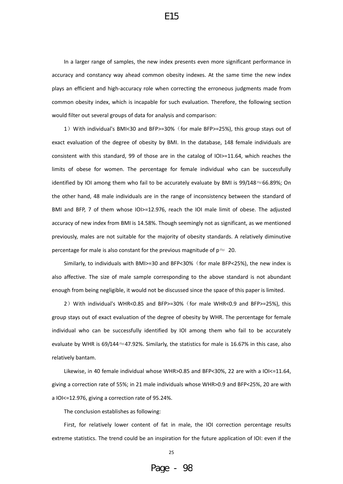In a larger range of samples, the new index presents even more significant performance in accuracy and constancy way ahead common obesity indexes. At the same time the new index plays an efficient and high‐accuracy role when correcting the erroneous judgments made from common obesity index, which is incapable for such evaluation. Therefore, the following section would filter out several groups of data for analysis and comparison:

1)With individual's BMI<30 and BFP>=30%(for male BFP>=25%), this group stays out of exact evaluation of the degree of obesity by BMI. In the database, 148 female individuals are consistent with this standard, 99 of those are in the catalog of IOI>=11.64, which reaches the limits of obese for women. The percentage for female individual who can be successfully identified by IOI among them who fail to be accurately evaluate by BMI is 99/148≈66.89%; On the other hand, 48 male individuals are in the range of inconsistency between the standard of BMI and BFP, 7 of them whose IOI>=12.976, reach the IOI male limit of obese. The adjusted accuracy of new index from BMI is 14.58%. Though seemingly not as significant, as we mentioned previously, males are not suitable for the majority of obesity standards. A relatively diminutive percentage for male is also constant for the previous magnitude of  $p \approx 20$ .

Similarly, to individuals with BMI>=30 and BFP<30%(for male BFP<25%), the new index is also affective. The size of male sample corresponding to the above standard is not abundant enough from being negligible, it would not be discussed since the space of this paper is limited.

2)With individual's WHR<0.85 and BFP>=30%(for male WHR<0.9 and BFP>=25%), this group stays out of exact evaluation of the degree of obesity by WHR. The percentage for female individual who can be successfully identified by IOI among them who fail to be accurately evaluate by WHR is 69/144 ≈47.92%. Similarly, the statistics for male is 16.67% in this case, also relatively bantam.

Likewise, in 40 female individual whose WHR>0.85 and BFP<30%, 22 are with a IOI<=11.64, giving a correction rate of 55%; in 21 male individuals whose WHR>0.9 and BFP<25%, 20 are with a IOI<=12.976, giving a correction rate of 95.24%.

The conclusion establishes as following:

First, for relatively lower content of fat in male, the IOI correction percentage results extreme statistics. The trend could be an inspiration for the future application of IOI: even if the

25

E15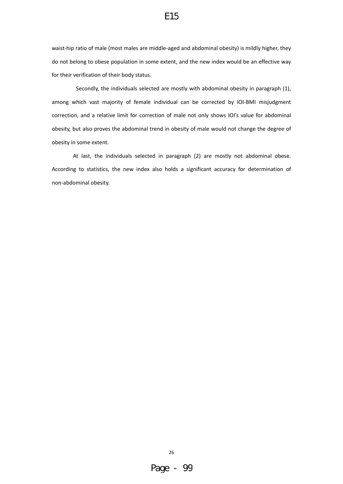waist-hip ratio of male (most males are middle-aged and abdominal obesity) is mildly higher, they do not belong to obese population in some extent, and the new index would be an effective way for their verification of their body status.

 Secondly, the individuals selected are mostly with abdominal obesity in paragraph (1), among which vast majority of female individual can be corrected by IOI‐BMI misjudgment correction, and a relative limit for correction of male not only shows IOI's value for abdominal obesity, but also proves the abdominal trend in obesity of male would not change the degree of obesity in some extent.

 At last, the individuals selected in paragraph (2) are mostly not abdominal obese. According to statistics, the new index also holds a significant accuracy for determination of non‐abdominal obesity.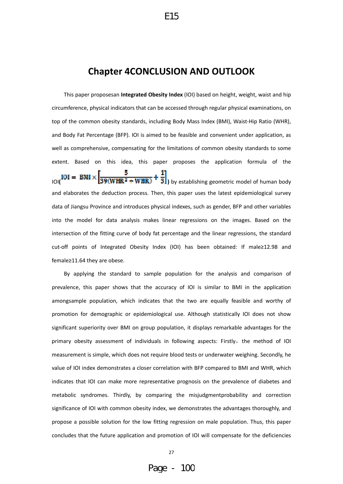# **Chapter 4CONCLUSION AND OUTLOOK**

E15

This paper proposesan **Integrated Obesity Index** (IOI) based on height, weight, waist and hip circumference, physical indicators that can be accessed through regular physical examinations, on top of the common obesity standards, including Body Mass Index (BMI), Waist‐Hip Ratio (WHR), and Body Fat Percentage (BFP). IOI is aimed to be feasible and convenient under application, as well as comprehensive, compensating for the limitations of common obesity standards to some extent. Based on this idea, this paper proposes the application formula of the

 $\frac{10I}{10I} = BMI \times \left[ \frac{5}{39(WHR^2 + WHR)} + \frac{1}{3} \right]$  by establishing geometric model of human body and elaborates the deduction process. Then, this paper uses the latest epidemiological survey data of Jiangsu Province and introduces physical indexes, such as gender, BFP and other variables into the model for data analysis makes linear regressions on the images. Based on the intersection of the fitting curve of body fat percentage and the linear regressions, the standard cut‐off points of Integrated Obesity Index (IOI) has been obtained: If male≥12.98 and female≥11.64 they are obese.

By applying the standard to sample population for the analysis and comparison of prevalence, this paper shows that the accuracy of IOI is similar to BMI in the application amongsample population, which indicates that the two are equally feasible and worthy of promotion for demographic or epidemiological use. Although statistically IOI does not show significant superiority over BMI on group population, it displays remarkable advantages for the primary obesity assessment of individuals in following aspects: Firstly, the method of IOI measurement is simple, which does not require blood tests or underwater weighing. Secondly, he value of IOI index demonstrates a closer correlation with BFP compared to BMI and WHR, which indicates that IOI can make more representative prognosis on the prevalence of diabetes and metabolic syndromes. Thirdly, by comparing the misjudgmentprobability and correction significance of IOI with common obesity index, we demonstrates the advantages thoroughly, and propose a possible solution for the low fitting regression on male population. Thus, this paper concludes that the future application and promotion of IOI will compensate for the deficiencies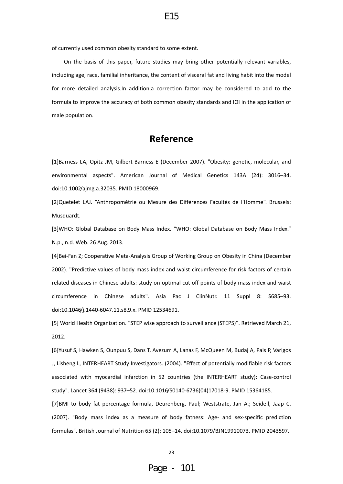of currently used common obesity standard to some extent.

On the basis of this paper, future studies may bring other potentially relevant variables, including age, race, familial inheritance, the content of visceral fat and living habit into the model for more detailed analysis.In addition,a correction factor may be considered to add to the formula to improve the accuracy of both common obesity standards and IOI in the application of male population.

# **Reference**

[1]Barness LA, Opitz JM, Gilbert‐Barness E (December 2007). "Obesity: genetic, molecular, and environmental aspects". American Journal of Medical Genetics 143A (24): 3016–34. doi:10.1002/ajmg.a.32035. PMID 18000969.

[2]Quetelet LAJ. "Anthropométrie ou Mesure des Différences Facultés de l'Homme". Brussels: Musquardt.

[3]WHO: Global Database on Body Mass Index. "WHO: Global Database on Body Mass Index." N.p., n.d. Web. 26 Aug. 2013.

[4]Bei‐Fan Z; Cooperative Meta‐Analysis Group of Working Group on Obesity in China (December 2002). "Predictive values of body mass index and waist circumference for risk factors of certain related diseases in Chinese adults: study on optimal cut-off points of body mass index and waist circumference in Chinese adults". Asia Pac J ClinNutr. 11 Suppl 8: S685–93. doi:10.1046/j.1440‐6047.11.s8.9.x. PMID 12534691.

[5] World Health Organization. "STEP wise approach to surveillance (STEPS)". Retrieved March 21, 2012.

[6]Yusuf S, Hawken S, Ounpuu S, Dans T, Avezum A, Lanas F, McQueen M, Budaj A, Pais P, Varigos J, Lisheng L, INTERHEART Study Investigators. (2004). "Effect of potentially modifiable risk factors associated with myocardial infarction in 52 countries (the INTERHEART study): Case‐control study". Lancet 364 (9438): 937–52. doi:10.1016/S0140‐6736(04)17018‐9. PMID 15364185.

[7]BMI to body fat percentage formula, Deurenberg, Paul; Weststrate, Jan A.; Seidell, Jaap C. (2007). "Body mass index as a measure of body fatness: Age- and sex-specific prediction formulas". British Journal of Nutrition 65 (2): 105–14. doi:10.1079/BJN19910073. PMID 2043597.

#### 28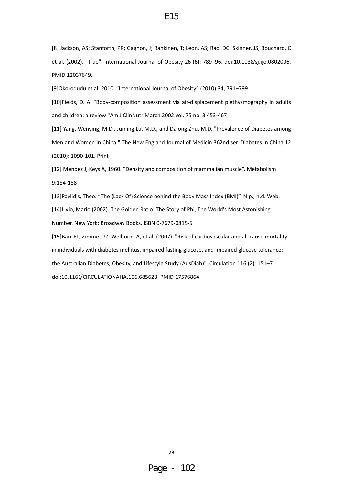[8] Jackson, AS; Stanforth, PR; Gagnon, J; Rankinen, T; Leon, AS; Rao, DC; Skinner, JS; Bouchard, C et al. (2002). "True". International Journal of Obesity 26 (6): 789–96. doi:10.1038/sj.ijo.0802006. PMID 12037649.

[9]Okorodudu et al, 2010. "International Journal of Obesity" (2010) 34, 791–799

[10]Fields, D. A. "Body‐composition assessment via air‐displacement plethysmography in adults and children: a review "Am J ClinNutr March 2002 vol. 75 no. 3 453‐467

[11] Yang, Wenying, M.D., Juming Lu, M.D., and Dalong Zhu, M.D. "Prevalence of Diabetes among Men and Women in China." The New England Journal of Medicin 362nd ser. Diabetes in China.12 (2010): 1090‐101. Print

[12] Mendez J, Keys A, 1960. "Density and composition of mammalian muscle". Metabolism 9:184‐188

[13]Pavlidis, Theo. "The (Lack Of) Science behind the Body Mass Index (BMI)". N.p., n.d. Web. [14]Livio, Mario (2002). The Golden Ratio: The Story of Phi, The World's Most Astonishing Number. New York: Broadway Books. ISBN 0‐7679‐0815‐5

[15]Barr EL, Zimmet PZ, Welborn TA, et al. (2007). "Risk of cardiovascular and all-cause mortality in individuals with diabetes mellitus, impaired fasting glucose, and impaired glucose tolerance: the Australian Diabetes, Obesity, and Lifestyle Study (AusDiab)". Circulation 116 (2): 151–7. doi:10.1161/CIRCULATIONAHA.106.685628. PMID 17576864.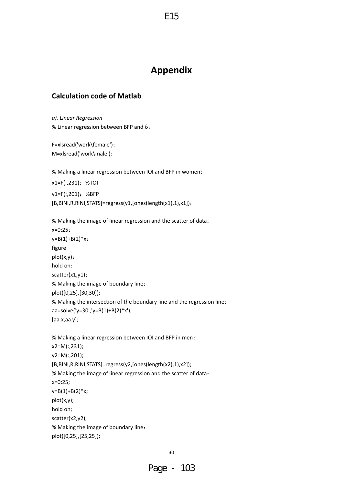# **Appendix**

E15

# **Calculation code of Matlab**

*a). Linear Regression* % Linear regression between BFP and δ:

F=xlsread('work\female'); M=xlsread('work\male');

% Making a linear regression between IOI and BFP in women:

x1=F(:,231);% IOI y1=F(:,201);%BFP [B,BINI,R,RINI,STATS]=regress(y1,[ones(length(x1),1),x1]);

```
% Making the image of linear regression and the scatter of data:
x=0:25;
y=B(1)+B(2)*x;figure
plot(x,y);
hold on;
scatter(x1,y1);
% Making the image of boundary line:
plot([0,25],[30,30]);
% Making the intersection of the boundary line and the regression line:
aa=solve('y=30','y=B(1)+B(2)*x');
[aa.x,aa.y];
```

```
% Making a linear regression between IOI and BFP in men:
x2=M(:,231);
y2=M(:,201);
[B,BINI,R,RINI,STATS]=regress(y2,[ones(length(x2),1),x2]);
% Making the image of linear regression and the scatter of data:
x=0:25;
y=B(1)+B(2)*x;plot(x,y);
hold on;
scatter(x2,y2);
% Making the image of boundary line:
plot([0,25],[25,25]);
```

```
30
```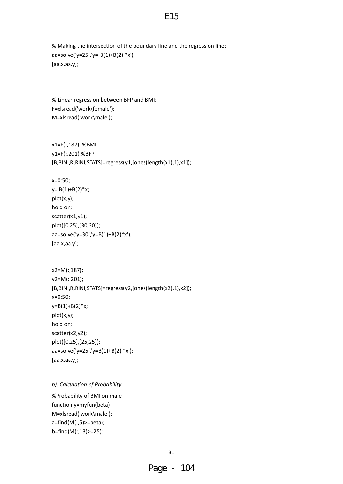```
% Making the intersection of the boundary line and the regression line:
aa=solve('y=25','y=‐B(1)+B(2) *x');
[aa.x,aa.y];
```

```
% Linear regression between BFP and BMI:
F=xlsread('work\female');
M=xlsread('work\male');
```

```
x1=F(:,187); %BMI
y1=F(:,201);%BFP
[B,BINI,R,RINI,STATS]=regress(y1,[ones(length(x1),1),x1]);
```
x=0:50;

```
y= B(1)+B(2)*x;plot(x,y);
hold on;
scatter(x1,y1);
plot([0,25],[30,30]);
aa=solve('y=30','y=B(1)+B(2)*x');   
[aa.x,aa.y];
```

```
x2=M(:,187);
y2=M(:,201);
[B,BINI,R,RINI,STATS]=regress(y2,[ones(length(x2),1),x2]);
x=0:50;
y=B(1)+B(2)*x;plot(x,y);
hold on;
scatter(x2,y2);
plot([0,25],[25,25]);
aa=solve('y=25','y=B(1)+B(2) *x');
[aa.x,aa.y];
```

```
b). Calculation of Probability
%Probability of BMI on male
function y=myfun(beta)
M=xlsread('work\male');
a=find(M(:,5)>=beta);
b=find(M(:,13)>=25);
```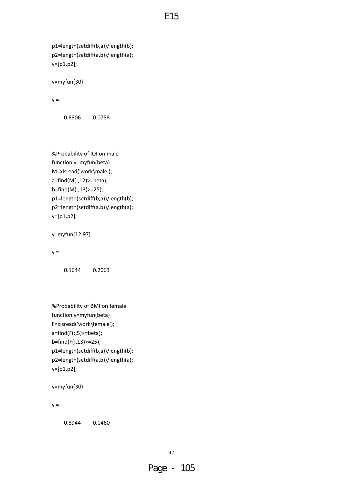p1=length(setdiff(b,a))/length(b); p2=length(setdiff(a,b))/length(a); y=[p1,p2];

y=myfun(30)

 $y =$ 

0.8806 0.0758

```
%Probability of IOI on male
function y=myfun(beta)
M=xlsread('work\male');
a=find(M(:,12)>=beta);
b=find(M(:,13)>=25);
p1=length(setdiff(b,a))/length(b);
p2=length(setdiff(a,b))/length(a);
y=[p1,p2];
```

```
y=myfun(12.97)
```
 $y =$ 

0.1644 0.2063

```
%Probability of BMI on female
function y=myfun(beta)
F=xlsread('work\female');
a=find(F(:,5)>=beta);
b=find(F(:,13)>=25);
p1=length(setdiff(b,a))/length(b);
p2=length(setdiff(a,b))/length(a);
y=[p1,p2];
```

```
y=myfun(30)
```
 $y =$ 

0.8944 0.0460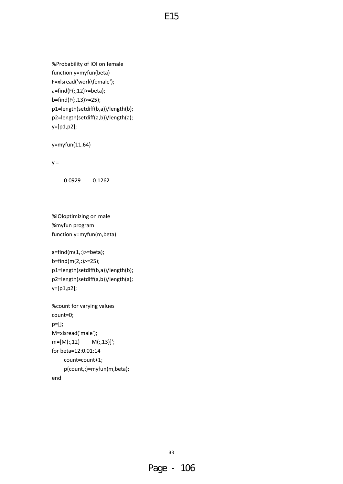```
%Probability of IOI on female
function y=myfun(beta)
F=xlsread('work\female');
a=find(F(:,12)>=beta);
b=find(F(:,13)>=25);
p1=length(setdiff(b,a))/length(b);
p2=length(setdiff(a,b))/length(a);
y=[p1,p2];
```
y=myfun(11.64)

 $y =$ 

0.0929 0.1262

%IOIoptimizing on male %myfun program function y=myfun(m,beta)

```
a=find(m(1,:)>=beta);
b=find(m(2,:)>=25);
p1=length(setdiff(b,a))/length(b);
p2=length(setdiff(a,b))/length(a);
y=[p1,p2];
```

```
%count for varying values
count=0;
p=[];
M=xlsread('male');
m=[M(:,12) \qquad M(:,13)];
for beta=12:0.01:14
          count=count+1;
          p(count,:)=myfun(m,beta);
end
```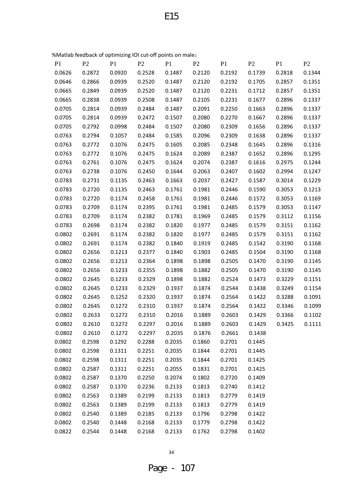%Matlab feedback of optimizing IOI cut‐off points on male:

| P <sub>1</sub> | P <sub>2</sub> | P <sub>1</sub> | P <sub>2</sub> | P <sub>1</sub> | P <sub>2</sub> | P <sub>1</sub> | P <sub>2</sub> | P <sub>1</sub> | P <sub>2</sub> |
|----------------|----------------|----------------|----------------|----------------|----------------|----------------|----------------|----------------|----------------|
| 0.0626         | 0.2872         | 0.0920         | 0.2528         | 0.1487         | 0.2120         | 0.2192         | 0.1739         | 0.2818         | 0.1344         |
| 0.0646         | 0.2866         | 0.0939         | 0.2520         | 0.1487         | 0.2120         | 0.2192         | 0.1705         | 0.2857         | 0.1351         |
| 0.0665         | 0.2849         | 0.0939         | 0.2520         | 0.1487         | 0.2120         | 0.2231         | 0.1712         | 0.2857         | 0.1351         |
| 0.0665         | 0.2838         | 0.0939         | 0.2508         | 0.1487         | 0.2105         | 0.2231         | 0.1677         | 0.2896         | 0.1337         |
| 0.0705         | 0.2814         | 0.0939         | 0.2484         | 0.1487         | 0.2091         | 0.2250         | 0.1663         | 0.2896         | 0.1337         |
| 0.0705         | 0.2814         | 0.0939         | 0.2472         | 0.1507         | 0.2080         | 0.2270         | 0.1667         | 0.2896         | 0.1337         |
| 0.0705         | 0.2792         | 0.0998         | 0.2484         | 0.1507         | 0.2080         | 0.2309         | 0.1656         | 0.2896         | 0.1337         |
| 0.0763         | 0.2794         | 0.1057         | 0.2484         | 0.1585         | 0.2096         | 0.2309         | 0.1638         | 0.2896         | 0.1337         |
| 0.0763         | 0.2772         | 0.1076         | 0.2475         | 0.1605         | 0.2085         | 0.2348         | 0.1645         | 0.2896         | 0.1316         |
| 0.0763         | 0.2772         | 0.1076         | 0.2475         | 0.1624         | 0.2089         | 0.2387         | 0.1652         | 0.2896         | 0.1295         |
| 0.0763         | 0.2761         | 0.1076         | 0.2475         | 0.1624         | 0.2074         | 0.2387         | 0.1616         | 0.2975         | 0.1244         |
| 0.0763         | 0.2738         | 0.1076         | 0.2450         | 0.1644         | 0.2063         | 0.2407         | 0.1602         | 0.2994         | 0.1247         |
| 0.0783         | 0.2731         | 0.1135         | 0.2463         | 0.1663         | 0.2037         | 0.2427         | 0.1587         | 0.3014         | 0.1229         |
| 0.0783         | 0.2720         | 0.1135         | 0.2463         | 0.1761         | 0.1981         | 0.2446         | 0.1590         | 0.3053         | 0.1213         |
| 0.0783         | 0.2720         | 0.1174         | 0.2458         | 0.1761         | 0.1981         | 0.2446         | 0.1572         | 0.3053         | 0.1169         |
| 0.0783         | 0.2709         | 0.1174         | 0.2395         | 0.1761         | 0.1981         | 0.2485         | 0.1579         | 0.3053         | 0.1147         |
| 0.0783         | 0.2709         | 0.1174         | 0.2382         | 0.1781         | 0.1969         | 0.2485         | 0.1579         | 0.3112         | 0.1156         |
| 0.0783         | 0.2698         | 0.1174         | 0.2382         | 0.1820         | 0.1977         | 0.2485         | 0.1579         | 0.3151         | 0.1162         |
| 0.0802         | 0.2691         | 0.1174         | 0.2382         | 0.1820         | 0.1977         | 0.2485         | 0.1579         | 0.3151         | 0.1162         |
| 0.0802         | 0.2691         | 0.1174         | 0.2382         | 0.1840         | 0.1919         | 0.2485         | 0.1542         | 0.3190         | 0.1168         |
| 0.0802         | 0.2656         | 0.1213         | 0.2377         | 0.1840         | 0.1903         | 0.2485         | 0.1504         | 0.3190         | 0.1168         |
| 0.0802         | 0.2656         | 0.1213         | 0.2364         | 0.1898         | 0.1898         | 0.2505         | 0.1470         | 0.3190         | 0.1145         |
| 0.0802         | 0.2656         | 0.1233         | 0.2355         | 0.1898         | 0.1882         | 0.2505         | 0.1470         | 0.3190         | 0.1145         |
| 0.0802         | 0.2645         | 0.1233         | 0.2329         | 0.1898         | 0.1882         | 0.2524         | 0.1473         | 0.3229         | 0.1151         |
| 0.0802         | 0.2645         | 0.1233         | 0.2329         | 0.1937         | 0.1874         | 0.2544         | 0.1438         | 0.3249         | 0.1154         |
| 0.0802         | 0.2645         | 0.1252         | 0.2320         | 0.1937         | 0.1874         | 0.2564         | 0.1422         | 0.3288         | 0.1091         |
| 0.0802         | 0.2645         | 0.1272         | 0.2310         | 0.1937         | 0.1874         | 0.2564         | 0.1422         | 0.3346         | 0.1099         |
| 0.0802         | 0.2633         | 0.1272         | 0.2310         | 0.2016         | 0.1889         | 0.2603         | 0.1429         | 0.3366         | 0.1102         |
| 0.0802         | 0.2610         | 0.1272         | 0.2297         | 0.2016         | 0.1889         | 0.2603         | 0.1429         | 0.3425         | 0.1111         |
| 0.0802         | 0.2610         | 0.1272         | 0.2297         | 0.2035         | 0.1876         | 0.2661         | 0.1438         |                |                |
| 0.0802         | 0.2598         | 0.1292         | 0.2288         | 0.2035         | 0.1860         | 0.2701         | 0.1445         |                |                |
| 0.0802         | 0.2598         | 0.1311         | 0.2251         | 0.2035         | 0.1844         | 0.2701         | 0.1445         |                |                |
| 0.0802         | 0.2598         | 0.1311         | 0.2251         | 0.2035         | 0.1844         | 0.2701         | 0.1425         |                |                |
| 0.0802         | 0.2587         | 0.1311         | 0.2251         | 0.2055         | 0.1831         | 0.2701         | 0.1425         |                |                |
| 0.0802         | 0.2587         | 0.1370         | 0.2250         | 0.2074         | 0.1802         | 0.2720         | 0.1409         |                |                |
| 0.0802         | 0.2587         | 0.1370         | 0.2236         | 0.2133         | 0.1813         | 0.2740         | 0.1412         |                |                |
| 0.0802         | 0.2563         | 0.1389         | 0.2199         | 0.2133         | 0.1813         | 0.2779         | 0.1419         |                |                |
| 0.0802         | 0.2563         | 0.1389         | 0.2199         | 0.2133         | 0.1813         | 0.2779         | 0.1419         |                |                |
| 0.0802         | 0.2540         | 0.1389         | 0.2185         | 0.2133         | 0.1796         | 0.2798         | 0.1422         |                |                |
| 0.0802         | 0.2540         | 0.1448         | 0.2168         | 0.2133         | 0.1779         | 0.2798         | 0.1422         |                |                |
| 0.0822         | 0.2544         | 0.1448         | 0.2168         | 0.2133         | 0.1762         | 0.2798         | 0.1402         |                |                |